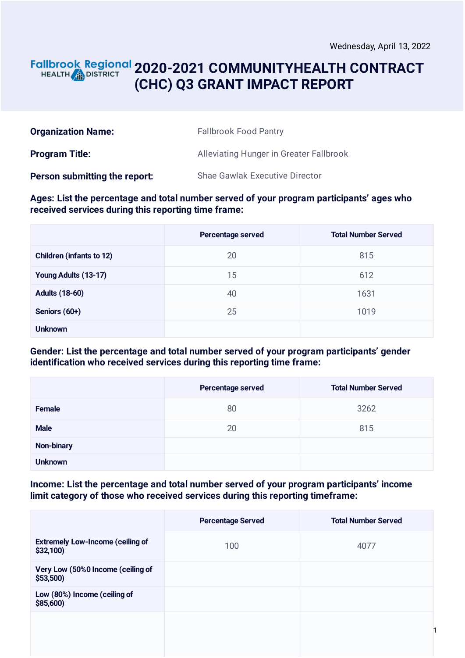### **2020-2021 COMMUNITYHEALTH CONTRACT** HEALTH **in DISTRICT (CHC) Q3 GRANT IMPACT REPORT**

| <b>Organization Name:</b>     | <b>Fallbrook Food Pantry</b>            |
|-------------------------------|-----------------------------------------|
| <b>Program Title:</b>         | Alleviating Hunger in Greater Fallbrook |
| Person submitting the report: | <b>Shae Gawlak Executive Director</b>   |

#### **Ages: List the percentage and total number served of your program participants' ages who received services during this reporting time frame:**

|                                 | Percentage served | <b>Total Number Served</b> |
|---------------------------------|-------------------|----------------------------|
| <b>Children (infants to 12)</b> | 20                | 815                        |
| Young Adults (13-17)            | 15                | 612                        |
| <b>Adults (18-60)</b>           | 40                | 1631                       |
| Seniors (60+)                   | 25                | 1019                       |
| <b>Unknown</b>                  |                   |                            |

#### **Gender: List the percentage and total number served of your program participants' gender identification who received services during this reporting time frame:**

|                   | Percentage served | <b>Total Number Served</b> |
|-------------------|-------------------|----------------------------|
| <b>Female</b>     | 80                | 3262                       |
| <b>Male</b>       | 20                | 815                        |
| <b>Non-binary</b> |                   |                            |
| <b>Unknown</b>    |                   |                            |

#### **Income: List the percentage and total number served of your program participants' income limit category of those who received services during this reporting timeframe:**

|                                                     | <b>Percentage Served</b> | <b>Total Number Served</b> |
|-----------------------------------------------------|--------------------------|----------------------------|
| <b>Extremely Low-Income (ceiling of</b><br>\$32,100 | 100                      | 4077                       |
| Very Low (50%0 Income (ceiling of<br>\$53,500       |                          |                            |
| Low (80%) Income (ceiling of<br>\$85,600)           |                          |                            |
|                                                     |                          |                            |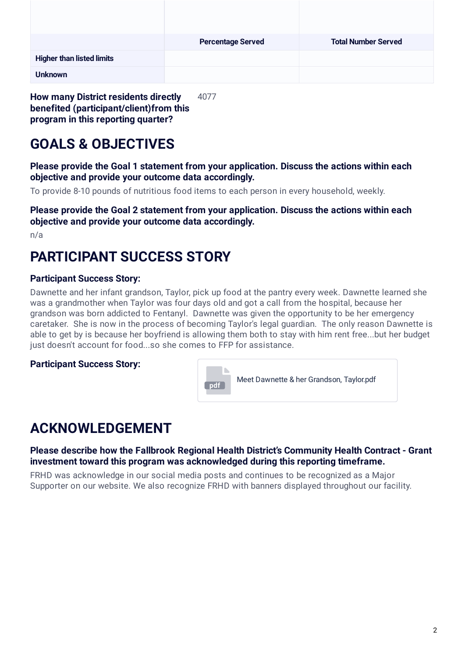|                                  | <b>Percentage Served</b> | <b>Total Number Served</b> |
|----------------------------------|--------------------------|----------------------------|
| <b>Higher than listed limits</b> |                          |                            |
| <b>Unknown</b>                   |                          |                            |

**How many District residents directly benefited (participant/client)from this program in this reporting quarter?** 4077

# **GOALS & OBJECTIVES**

**Please provide the Goal 1 statement from your application. Discuss the actions within each objective and provide your outcome data accordingly.**

To provide 8-10 pounds of nutritious food items to each person in every household, weekly.

**Please provide the Goal 2 statement from your application. Discuss the actions within each objective and provide your outcome data accordingly.**

n/a

# **PARTICIPANT SUCCESS STORY**

#### **Participant Success Story:**

Dawnette and her infant grandson, Taylor, pick up food at the pantry every week. Dawnette learned she was a grandmother when Taylor was four days old and got a call from the hospital, because her grandson was born addicted to Fentanyl. Dawnette was given the opportunity to be her emergency caretaker. She is now in the process of becoming Taylor's legal guardian. The only reason Dawnette is able to get by is because her boyfriend is allowing them both to stay with him rent free...but her budget just doesn't account for food...so she comes to FFP for assistance.

#### **Participant Success Story:**



## **ACKNOWLEDGEMENT**

### **Please describe how the Fallbrook Regional Health District's Community Health Contract - Grant investment toward this program was acknowledged during this reporting timeframe.**

FRHD was acknowledge in our social media posts and continues to be recognized as a Major Supporter on our website. We also recognize FRHD with banners displayed throughout our facility.